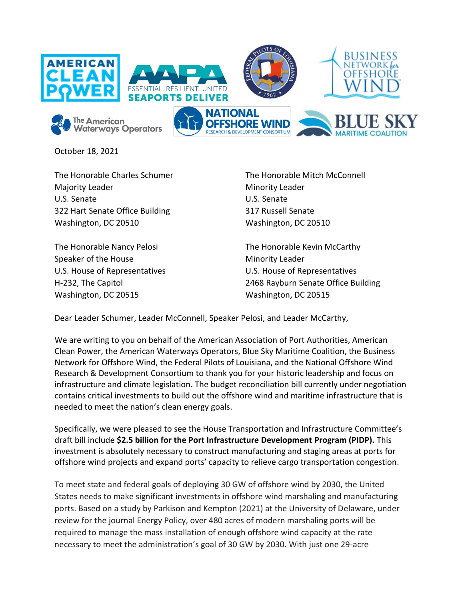

October 18, 2021

The Honorable Charles Schumer Majority Leader U.S. Senate 322 Hart Senate Office Building Washington, DC 20510

The Honorable Nancy Pelosi Speaker of the House U.S. House of Representatives H-232, The Capitol Washington, DC 20515

The Honorable Mitch McConnell Minority Leader U.S. Senate 317 Russell Senate Washington, DC 20510

The Honorable Kevin McCarthy Minority Leader U.S. House of Representatives 2468 Rayburn Senate Office Building Washington, DC 20515

Dear Leader Schumer, Leader McConnell, Speaker Pelosi, and Leader McCarthy,

We are writing to you on behalf of the American Association of Port Authorities, American Clean Power, the American Waterways Operators, Blue Sky Maritime Coalition, the Business Network for Offshore Wind, the Federal Pilots of Louisiana, and the National Offshore Wind Research & Development Consortium to thank you for your historic leadership and focus on infrastructure and climate legislation. The budget reconciliation bill currently under negotiation contains critical investments to build out the offshore wind and maritime infrastructure that is needed to meet the nation's clean energy goals.

Specifically, we were pleased to see the House Transportation and Infrastructure Committee's draft bill include **\$2.5 billion for the Port Infrastructure Development Program (PIDP).** This investment is absolutely necessary to construct manufacturing and staging areas at ports for offshore wind projects and expand ports' capacity to relieve cargo transportation congestion.

To meet state and federal goals of deploying 30 GW of offshore wind by 2030, the United States needs to make significant investments in offshore wind marshaling and manufacturing ports. Based on a study by Parkison and Kempton (2021) at the University of Delaware, under review for the journal Energy Policy, over 480 acres of modern marshaling ports will be required to manage the mass installation of enough offshore wind capacity at the rate necessary to meet the administration's goal of 30 GW by 2030. With just one 29-acre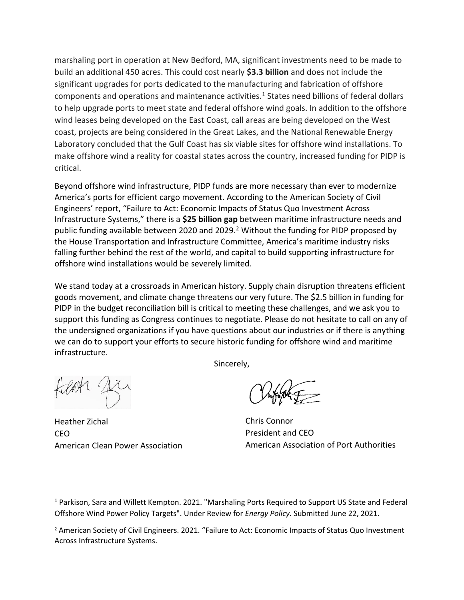marshaling port in operation at New Bedford, MA, significant investments need to be made to build an additional 450 acres. This could cost nearly **\$3.3 billion** and does not include the significant upgrades for ports dedicated to the manufacturing and fabrication of offshore components and operations and maintenance activities.<sup>1</sup> States need billions of federal dollars to help upgrade ports to meet state and federal offshore wind goals. In addition to the offshore wind leases being developed on the East Coast, call areas are being developed on the West coast, projects are being considered in the Great Lakes, and the National Renewable Energy Laboratory concluded that the Gulf Coast has six viable sites for offshore wind installations. To make offshore wind a reality for coastal states across the country, increased funding for PIDP is critical.

Beyond offshore wind infrastructure, PIDP funds are more necessary than ever to modernize America's ports for efficient cargo movement. According to the American Society of Civil Engineers' report, "Failure to Act: Economic Impacts of Status Quo Investment Across Infrastructure Systems," there is a **\$25 billion gap** between maritime infrastructure needs and public funding available between 2020 and 2029.<sup>2</sup> Without the funding for PIDP proposed by the House Transportation and Infrastructure Committee, America's maritime industry risks falling further behind the rest of the world, and capital to build supporting infrastructure for offshore wind installations would be severely limited.

We stand today at a crossroads in American history. Supply chain disruption threatens efficient goods movement, and climate change threatens our very future. The \$2.5 billion in funding for PIDP in the budget reconciliation bill is critical to meeting these challenges, and we ask you to support this funding as Congress continues to negotiate. Please do not hesitate to call on any of the undersigned organizations if you have questions about our industries or if there is anything we can do to support your efforts to secure historic funding for offshore wind and maritime infrastructure.

Sincerely,

Heather Zichal CEO American Clean Power Association

Chris Connor President and CEO American Association of Port Authorities

<sup>1</sup> Parkison, Sara and Willett Kempton. 2021. "Marshaling Ports Required to Support US State and Federal Offshore Wind Power Policy Targets". Under Review for *Energy Policy.* Submitted June 22, 2021.

<sup>&</sup>lt;sup>2</sup> American Society of Civil Engineers. 2021. "Failure to Act: Economic Impacts of Status Quo Investment Across Infrastructure Systems.